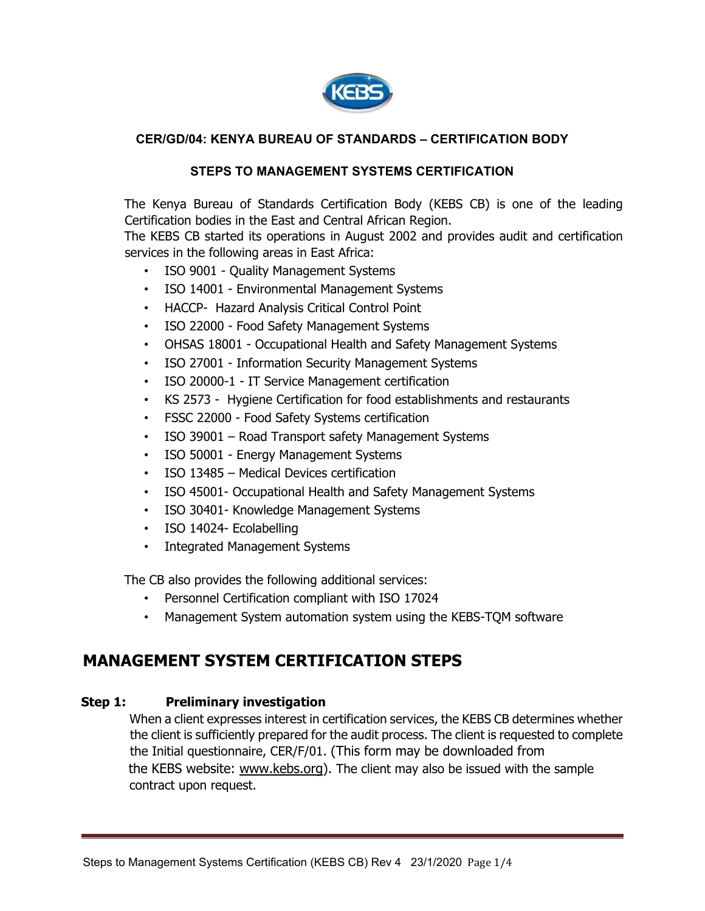

## **CER/GD/04: KENYA BUREAU OF STANDARDS – CERTIFICATION BODY**

#### **STEPS TO MANAGEMENT SYSTEMS CERTIFICATION**

The Kenya Bureau of Standards Certification Body (KEBS CB) is one of the leading Certification bodies in the East and Central African Region.

The KEBS CB started its operations in August 2002 and provides audit and certification services in the following areas in East Africa:

- ISO 9001 Quality Management Systems
- ISO 14001 Environmental Management Systems
- HACCP- Hazard Analysis Critical Control Point
- ISO 22000 Food Safety Management Systems
- OHSAS 18001 Occupational Health and Safety Management Systems
- ISO 27001 Information Security Management Systems
- ISO 20000-1 IT Service Management certification
- KS 2573 Hygiene Certification for food establishments and restaurants
- FSSC 22000 Food Safety Systems certification
- ISO 39001 Road Transport safety Management Systems
- ISO 50001 Energy Management Systems
- ISO 13485 Medical Devices certification
- ISO 45001- Occupational Health and Safety Management Systems
- ISO 30401- Knowledge Management Systems
- ISO 14024- Ecolabelling
- Integrated Management Systems

The CB also provides the following additional services:

- Personnel Certification compliant with ISO 17024
- Management System automation system using the KEBS-TQM software

# **MANAGEMENT SYSTEM CERTIFICATION STEPS**

#### **Step 1: Preliminary investigation**

When a client expresses interest in certification services, the KEBS CB determines whether the client is sufficiently prepared for the audit process. The client is requested to complete the Initial questionnaire, CER/F/01. (This form may be downloaded from the KEBS website: www.kebs.org). The client may also be issued with the sample contract upon request.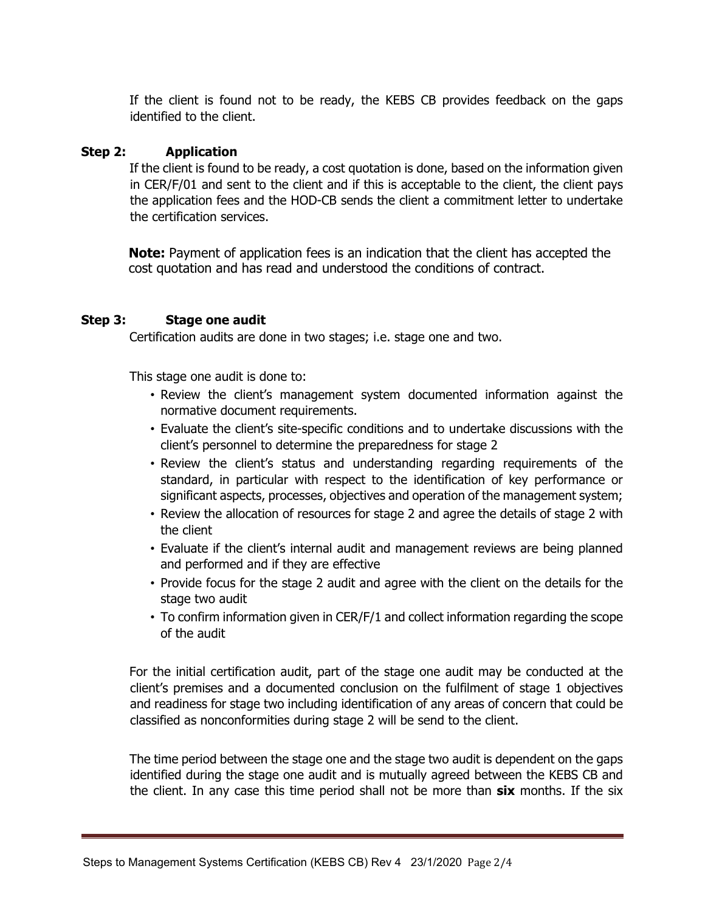If the client is found not to be ready, the KEBS CB provides feedback on the gaps identified to the client.

## **Step 2: Application**

If the client is found to be ready, a cost quotation is done, based on the information given in CER/F/01 and sent to the client and if this is acceptable to the client, the client pays the application fees and the HOD-CB sends the client a commitment letter to undertake the certification services.

**Note:** Payment of application fees is an indication that the client has accepted the cost quotation and has read and understood the conditions of contract.

## **Step 3: Stage one audit**

Certification audits are done in two stages; i.e. stage one and two.

This stage one audit is done to:

- Review the client's management system documented information against the normative document requirements.
- Evaluate the client's site-specific conditions and to undertake discussions with the client's personnel to determine the preparedness for stage 2
- Review the client's status and understanding regarding requirements of the standard, in particular with respect to the identification of key performance or significant aspects, processes, objectives and operation of the management system;
- Review the allocation of resources for stage 2 and agree the details of stage 2 with the client
- Evaluate if the client's internal audit and management reviews are being planned and performed and if they are effective
- Provide focus for the stage 2 audit and agree with the client on the details for the stage two audit
- To confirm information given in CER/F/1 and collect information regarding the scope of the audit

For the initial certification audit, part of the stage one audit may be conducted at the client's premises and a documented conclusion on the fulfilment of stage 1 objectives and readiness for stage two including identification of any areas of concern that could be classified as nonconformities during stage 2 will be send to the client.

The time period between the stage one and the stage two audit is dependent on the gaps identified during the stage one audit and is mutually agreed between the KEBS CB and the client. In any case this time period shall not be more than **six** months. If the six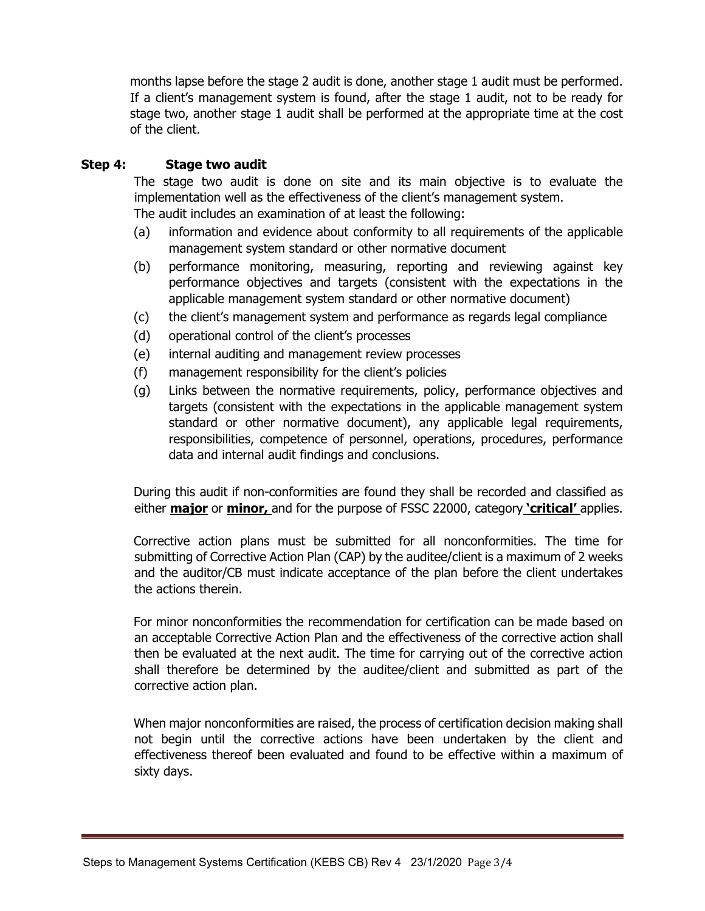months lapse before the stage 2 audit is done, another stage 1 audit must be performed. If a client's management system is found, after the stage 1 audit, not to be ready for stage two, another stage 1 audit shall be performed at the appropriate time at the cost of the client.

## **Step 4: Stage two audit**

The stage two audit is done on site and its main objective is to evaluate the implementation well as the effectiveness of the client's management system. The audit includes an examination of at least the following:

- (a) information and evidence about conformity to all requirements of the applicable management system standard or other normative document
- (b) performance monitoring, measuring, reporting and reviewing against key performance objectives and targets (consistent with the expectations in the applicable management system standard or other normative document)
- (c) the client's management system and performance as regards legal compliance
- (d) operational control of the client's processes
- (e) internal auditing and management review processes
- (f) management responsibility for the client's policies
- (g) Links between the normative requirements, policy, performance objectives and targets (consistent with the expectations in the applicable management system standard or other normative document), any applicable legal requirements, responsibilities, competence of personnel, operations, procedures, performance data and internal audit findings and conclusions.

During this audit if non-conformities are found they shall be recorded and classified as either **major** or **minor,** and for the purpose of FSSC 22000, category **'critical'** applies.

Corrective action plans must be submitted for all nonconformities. The time for submitting of Corrective Action Plan (CAP) by the auditee/client is a maximum of 2 weeks and the auditor/CB must indicate acceptance of the plan before the client undertakes the actions therein.

For minor nonconformities the recommendation for certification can be made based on an acceptable Corrective Action Plan and the effectiveness of the corrective action shall then be evaluated at the next audit. The time for carrying out of the corrective action shall therefore be determined by the auditee/client and submitted as part of the corrective action plan.

When major nonconformities are raised, the process of certification decision making shall not begin until the corrective actions have been undertaken by the client and effectiveness thereof been evaluated and found to be effective within a maximum of sixty days.